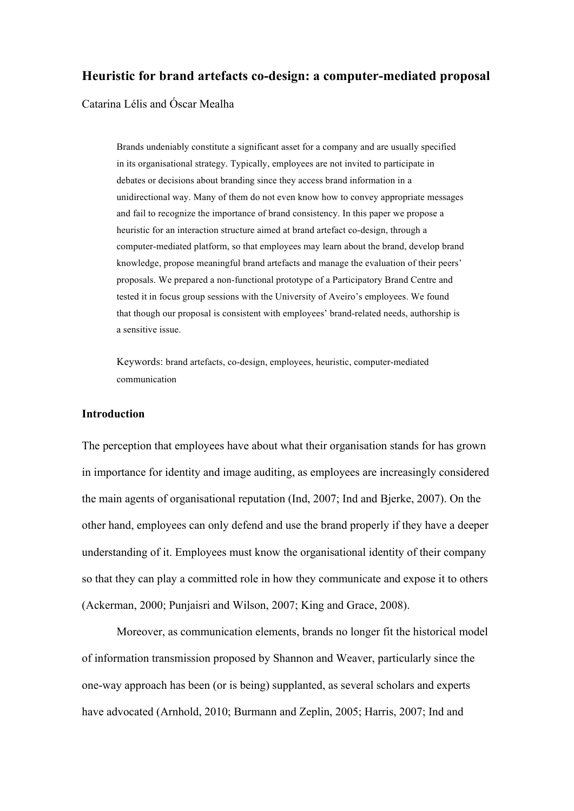## **Heuristic for brand artefacts co-design: a computer-mediated proposal**

Catarina Lélis and Óscar Mealha

Brands undeniably constitute a significant asset for a company and are usually specified in its organisational strategy. Typically, employees are not invited to participate in debates or decisions about branding since they access brand information in a unidirectional way. Many of them do not even know how to convey appropriate messages and fail to recognize the importance of brand consistency. In this paper we propose a heuristic for an interaction structure aimed at brand artefact co-design, through a computer-mediated platform, so that employees may learn about the brand, develop brand knowledge, propose meaningful brand artefacts and manage the evaluation of their peers' proposals. We prepared a non-functional prototype of a Participatory Brand Centre and tested it in focus group sessions with the University of Aveiro's employees. We found that though our proposal is consistent with employees' brand-related needs, authorship is a sensitive issue.

Keywords: brand artefacts, co-design, employees, heuristic, computer-mediated communication

#### **Introduction**

The perception that employees have about what their organisation stands for has grown in importance for identity and image auditing, as employees are increasingly considered the main agents of organisational reputation (Ind, 2007; Ind and Bjerke, 2007). On the other hand, employees can only defend and use the brand properly if they have a deeper understanding of it. Employees must know the organisational identity of their company so that they can play a committed role in how they communicate and expose it to others (Ackerman, 2000; Punjaisri and Wilson, 2007; King and Grace, 2008).

Moreover, as communication elements, brands no longer fit the historical model of information transmission proposed by Shannon and Weaver, particularly since the one-way approach has been (or is being) supplanted, as several scholars and experts have advocated (Arnhold, 2010; Burmann and Zeplin, 2005; Harris, 2007; Ind and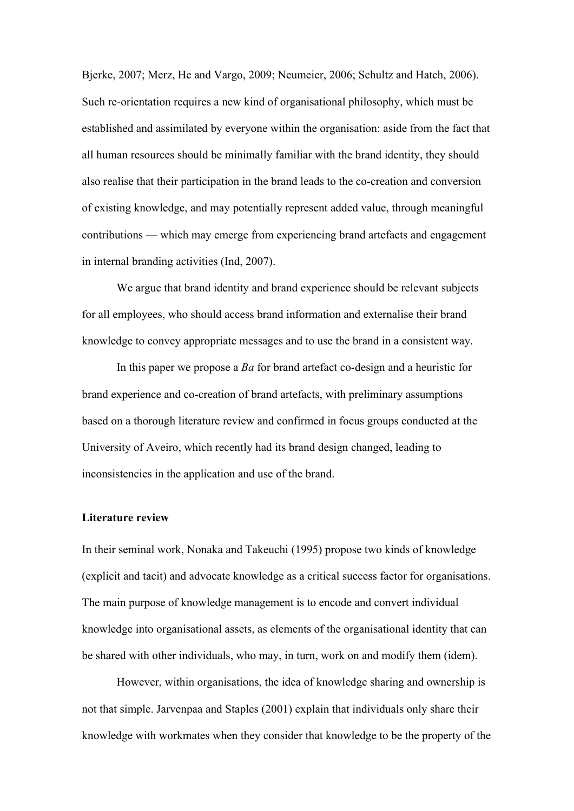Bjerke, 2007; Merz, He and Vargo, 2009; Neumeier, 2006; Schultz and Hatch, 2006). Such re-orientation requires a new kind of organisational philosophy, which must be established and assimilated by everyone within the organisation: aside from the fact that all human resources should be minimally familiar with the brand identity, they should also realise that their participation in the brand leads to the co-creation and conversion of existing knowledge, and may potentially represent added value, through meaningful contributions — which may emerge from experiencing brand artefacts and engagement in internal branding activities (Ind, 2007).

We argue that brand identity and brand experience should be relevant subjects for all employees, who should access brand information and externalise their brand knowledge to convey appropriate messages and to use the brand in a consistent way.

In this paper we propose a *Ba* for brand artefact co-design and a heuristic for brand experience and co-creation of brand artefacts, with preliminary assumptions based on a thorough literature review and confirmed in focus groups conducted at the University of Aveiro, which recently had its brand design changed, leading to inconsistencies in the application and use of the brand.

#### **Literature review**

In their seminal work, Nonaka and Takeuchi (1995) propose two kinds of knowledge (explicit and tacit) and advocate knowledge as a critical success factor for organisations. The main purpose of knowledge management is to encode and convert individual knowledge into organisational assets, as elements of the organisational identity that can be shared with other individuals, who may, in turn, work on and modify them (idem).

However, within organisations, the idea of knowledge sharing and ownership is not that simple. Jarvenpaa and Staples (2001) explain that individuals only share their knowledge with workmates when they consider that knowledge to be the property of the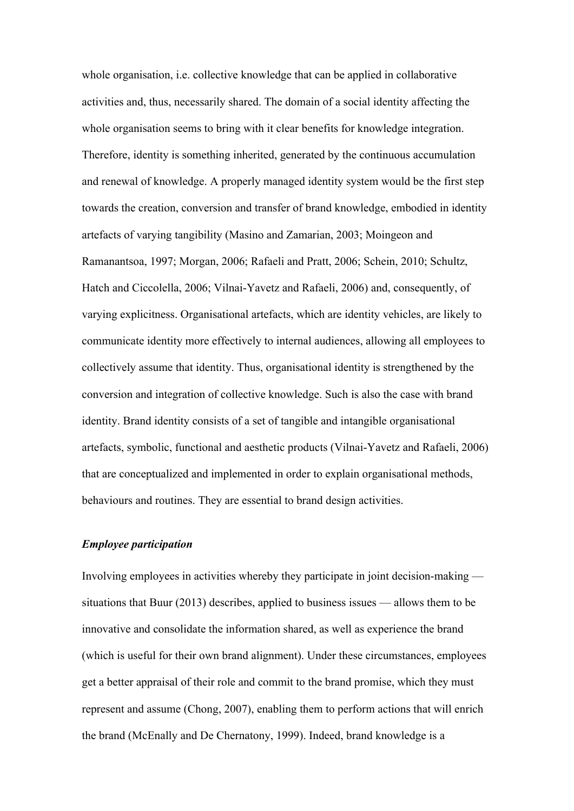whole organisation, i.e. collective knowledge that can be applied in collaborative activities and, thus, necessarily shared. The domain of a social identity affecting the whole organisation seems to bring with it clear benefits for knowledge integration. Therefore, identity is something inherited, generated by the continuous accumulation and renewal of knowledge. A properly managed identity system would be the first step towards the creation, conversion and transfer of brand knowledge, embodied in identity artefacts of varying tangibility (Masino and Zamarian, 2003; Moingeon and Ramanantsoa, 1997; Morgan, 2006; Rafaeli and Pratt, 2006; Schein, 2010; Schultz, Hatch and Ciccolella, 2006; Vilnai-Yavetz and Rafaeli, 2006) and, consequently, of varying explicitness. Organisational artefacts, which are identity vehicles, are likely to communicate identity more effectively to internal audiences, allowing all employees to collectively assume that identity. Thus, organisational identity is strengthened by the conversion and integration of collective knowledge. Such is also the case with brand identity. Brand identity consists of a set of tangible and intangible organisational artefacts, symbolic, functional and aesthetic products (Vilnai-Yavetz and Rafaeli, 2006) that are conceptualized and implemented in order to explain organisational methods, behaviours and routines. They are essential to brand design activities.

## *Employee participation*

Involving employees in activities whereby they participate in joint decision-making situations that Buur (2013) describes, applied to business issues — allows them to be innovative and consolidate the information shared, as well as experience the brand (which is useful for their own brand alignment). Under these circumstances, employees get a better appraisal of their role and commit to the brand promise, which they must represent and assume (Chong, 2007), enabling them to perform actions that will enrich the brand (McEnally and De Chernatony, 1999). Indeed, brand knowledge is a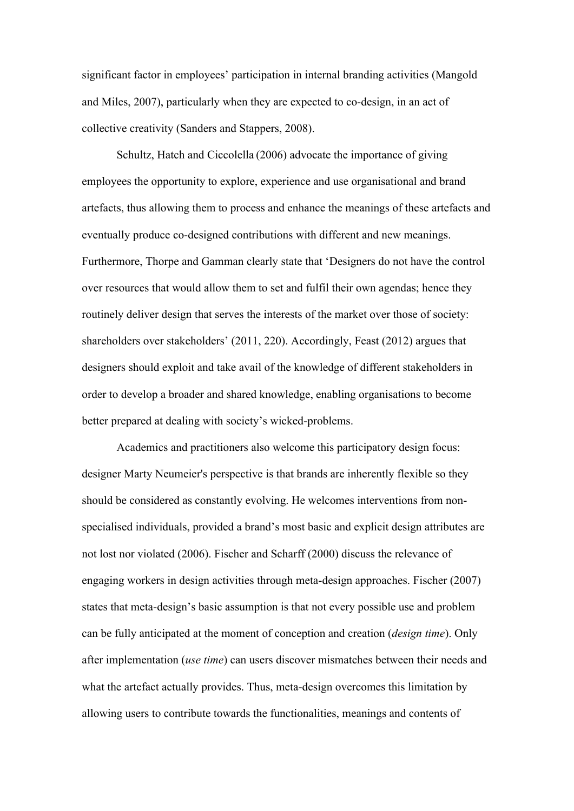significant factor in employees' participation in internal branding activities (Mangold and Miles, 2007), particularly when they are expected to co-design, in an act of collective creativity (Sanders and Stappers, 2008).

Schultz, Hatch and Ciccolella (2006) advocate the importance of giving employees the opportunity to explore, experience and use organisational and brand artefacts, thus allowing them to process and enhance the meanings of these artefacts and eventually produce co-designed contributions with different and new meanings. Furthermore, Thorpe and Gamman clearly state that 'Designers do not have the control over resources that would allow them to set and fulfil their own agendas; hence they routinely deliver design that serves the interests of the market over those of society: shareholders over stakeholders' (2011, 220). Accordingly, Feast (2012) argues that designers should exploit and take avail of the knowledge of different stakeholders in order to develop a broader and shared knowledge, enabling organisations to become better prepared at dealing with society's wicked-problems.

Academics and practitioners also welcome this participatory design focus: designer Marty Neumeier's perspective is that brands are inherently flexible so they should be considered as constantly evolving. He welcomes interventions from nonspecialised individuals, provided a brand's most basic and explicit design attributes are not lost nor violated (2006). Fischer and Scharff (2000) discuss the relevance of engaging workers in design activities through meta-design approaches. Fischer (2007) states that meta-design's basic assumption is that not every possible use and problem can be fully anticipated at the moment of conception and creation (*design time*). Only after implementation (*use time*) can users discover mismatches between their needs and what the artefact actually provides. Thus, meta-design overcomes this limitation by allowing users to contribute towards the functionalities, meanings and contents of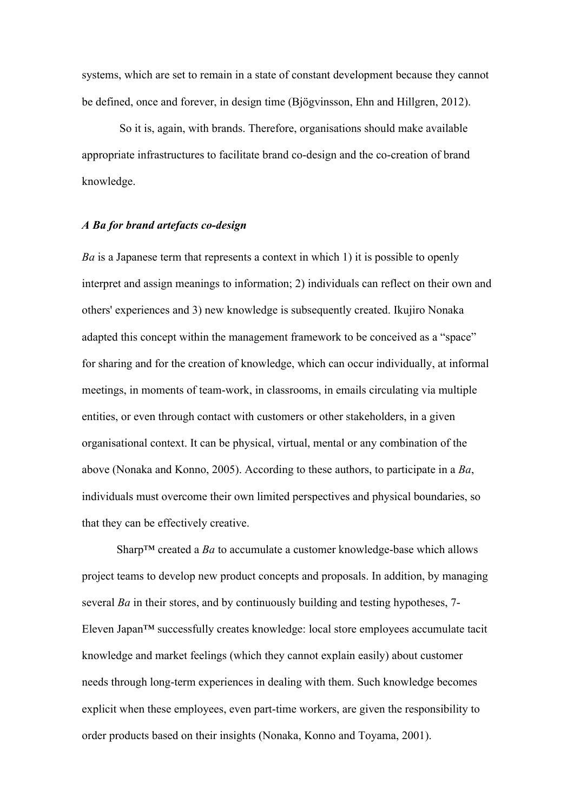systems, which are set to remain in a state of constant development because they cannot be defined, once and forever, in design time (Bjögvinsson, Ehn and Hillgren, 2012).

So it is, again, with brands. Therefore, organisations should make available appropriate infrastructures to facilitate brand co-design and the co-creation of brand knowledge.

### *A Ba for brand artefacts co-design*

*Ba* is a Japanese term that represents a context in which 1) it is possible to openly interpret and assign meanings to information; 2) individuals can reflect on their own and others' experiences and 3) new knowledge is subsequently created. Ikujiro Nonaka adapted this concept within the management framework to be conceived as a "space" for sharing and for the creation of knowledge, which can occur individually, at informal meetings, in moments of team-work, in classrooms, in emails circulating via multiple entities, or even through contact with customers or other stakeholders, in a given organisational context. It can be physical, virtual, mental or any combination of the above (Nonaka and Konno, 2005). According to these authors, to participate in a *Ba*, individuals must overcome their own limited perspectives and physical boundaries, so that they can be effectively creative.

Sharp™ created a *Ba* to accumulate a customer knowledge-base which allows project teams to develop new product concepts and proposals. In addition, by managing several *Ba* in their stores, and by continuously building and testing hypotheses, 7- Eleven Japan™ successfully creates knowledge: local store employees accumulate tacit knowledge and market feelings (which they cannot explain easily) about customer needs through long-term experiences in dealing with them. Such knowledge becomes explicit when these employees, even part-time workers, are given the responsibility to order products based on their insights (Nonaka, Konno and Toyama, 2001).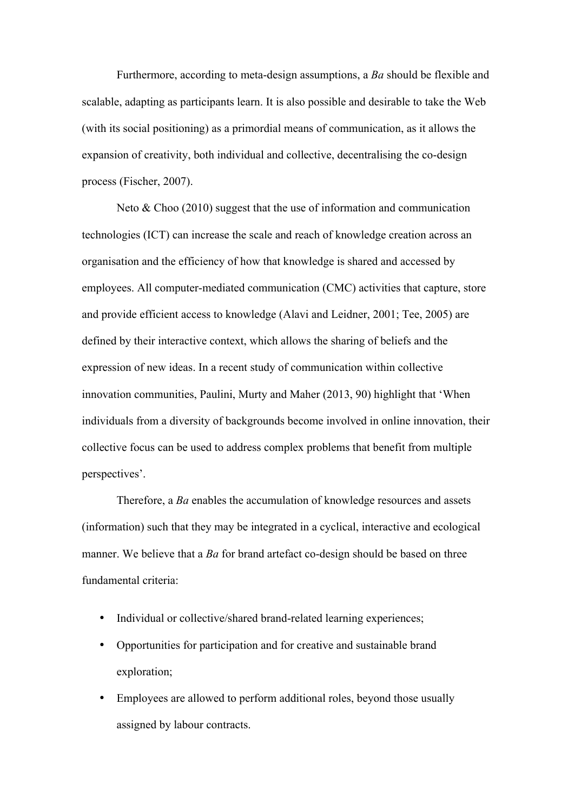Furthermore, according to meta-design assumptions, a *Ba* should be flexible and scalable, adapting as participants learn. It is also possible and desirable to take the Web (with its social positioning) as a primordial means of communication, as it allows the expansion of creativity, both individual and collective, decentralising the co-design process (Fischer, 2007).

Neto & Choo (2010) suggest that the use of information and communication technologies (ICT) can increase the scale and reach of knowledge creation across an organisation and the efficiency of how that knowledge is shared and accessed by employees. All computer-mediated communication (CMC) activities that capture, store and provide efficient access to knowledge (Alavi and Leidner, 2001; Tee, 2005) are defined by their interactive context, which allows the sharing of beliefs and the expression of new ideas. In a recent study of communication within collective innovation communities, Paulini, Murty and Maher (2013, 90) highlight that 'When individuals from a diversity of backgrounds become involved in online innovation, their collective focus can be used to address complex problems that benefit from multiple perspectives'.

Therefore, a *Ba* enables the accumulation of knowledge resources and assets (information) such that they may be integrated in a cyclical, interactive and ecological manner. We believe that a *Ba* for brand artefact co-design should be based on three fundamental criteria:

- Individual or collective/shared brand-related learning experiences;
- Opportunities for participation and for creative and sustainable brand exploration;
- Employees are allowed to perform additional roles, beyond those usually assigned by labour contracts.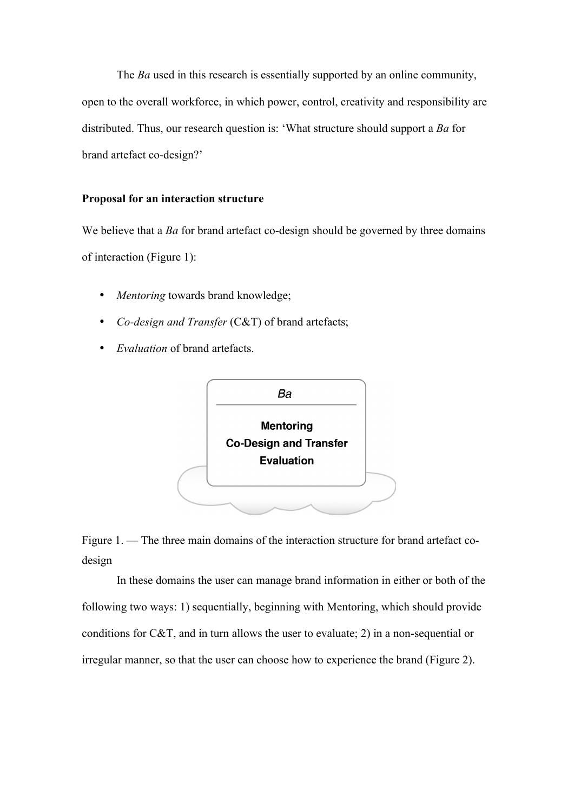The *Ba* used in this research is essentially supported by an online community, open to the overall workforce, in which power, control, creativity and responsibility are distributed. Thus, our research question is: 'What structure should support a *Ba* for brand artefact co-design?'

# **Proposal for an interaction structure**

We believe that a *Ba* for brand artefact co-design should be governed by three domains of interaction (Figure 1):

- *Mentoring* towards brand knowledge;
- *Co-design and Transfer* (C&T) of brand artefacts;
- *Evaluation* of brand artefacts.





In these domains the user can manage brand information in either or both of the following two ways: 1) sequentially, beginning with Mentoring, which should provide conditions for C&T, and in turn allows the user to evaluate; 2) in a non-sequential or irregular manner, so that the user can choose how to experience the brand (Figure 2).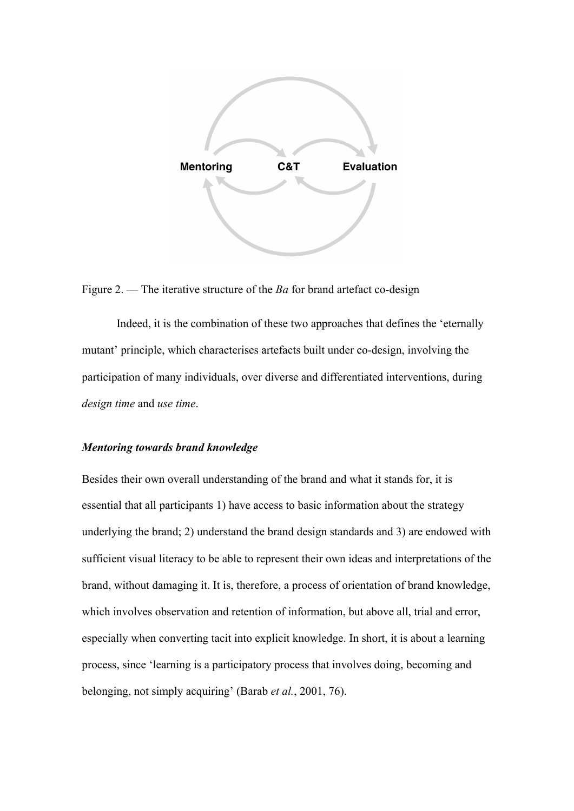

Figure 2. — The iterative structure of the *Ba* for brand artefact co-design

Indeed, it is the combination of these two approaches that defines the 'eternally mutant' principle, which characterises artefacts built under co-design, involving the participation of many individuals, over diverse and differentiated interventions, during *design time* and *use time*.

#### *Mentoring towards brand knowledge*

Besides their own overall understanding of the brand and what it stands for, it is essential that all participants 1) have access to basic information about the strategy underlying the brand; 2) understand the brand design standards and 3) are endowed with sufficient visual literacy to be able to represent their own ideas and interpretations of the brand, without damaging it. It is, therefore, a process of orientation of brand knowledge, which involves observation and retention of information, but above all, trial and error, especially when converting tacit into explicit knowledge. In short, it is about a learning process, since 'learning is a participatory process that involves doing, becoming and belonging, not simply acquiring' (Barab *et al.*, 2001, 76).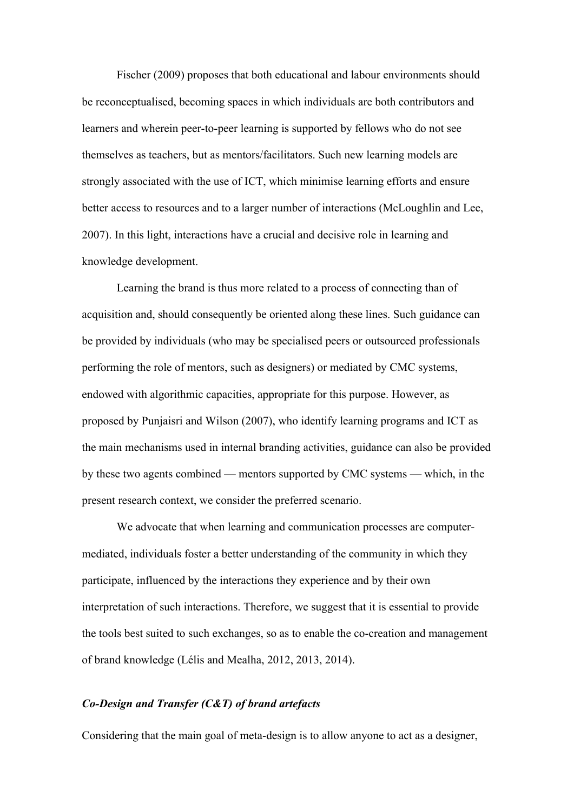Fischer (2009) proposes that both educational and labour environments should be reconceptualised, becoming spaces in which individuals are both contributors and learners and wherein peer-to-peer learning is supported by fellows who do not see themselves as teachers, but as mentors/facilitators. Such new learning models are strongly associated with the use of ICT, which minimise learning efforts and ensure better access to resources and to a larger number of interactions (McLoughlin and Lee, 2007). In this light, interactions have a crucial and decisive role in learning and knowledge development.

Learning the brand is thus more related to a process of connecting than of acquisition and, should consequently be oriented along these lines. Such guidance can be provided by individuals (who may be specialised peers or outsourced professionals performing the role of mentors, such as designers) or mediated by CMC systems, endowed with algorithmic capacities, appropriate for this purpose. However, as proposed by Punjaisri and Wilson (2007), who identify learning programs and ICT as the main mechanisms used in internal branding activities, guidance can also be provided by these two agents combined — mentors supported by CMC systems — which, in the present research context, we consider the preferred scenario.

We advocate that when learning and communication processes are computermediated, individuals foster a better understanding of the community in which they participate, influenced by the interactions they experience and by their own interpretation of such interactions. Therefore, we suggest that it is essential to provide the tools best suited to such exchanges, so as to enable the co-creation and management of brand knowledge (Lélis and Mealha, 2012, 2013, 2014).

## *Co-Design and Transfer (C&T) of brand artefacts*

Considering that the main goal of meta-design is to allow anyone to act as a designer,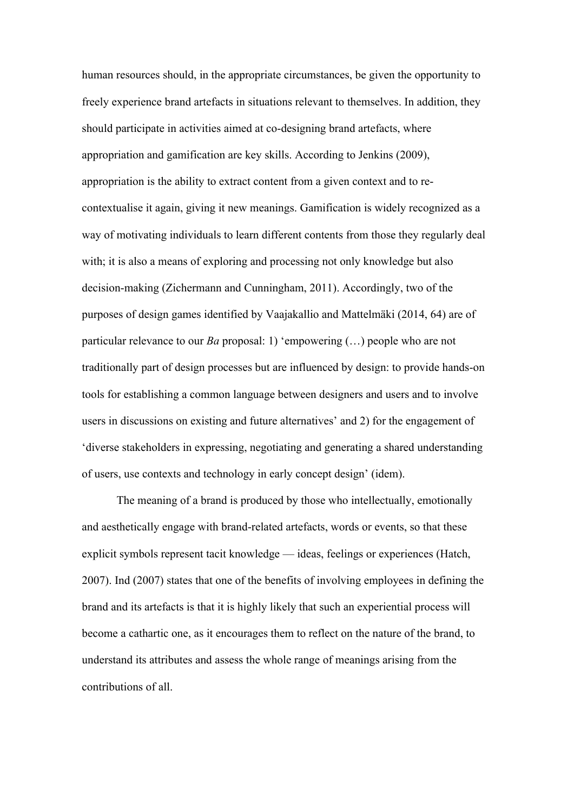human resources should, in the appropriate circumstances, be given the opportunity to freely experience brand artefacts in situations relevant to themselves. In addition, they should participate in activities aimed at co-designing brand artefacts, where appropriation and gamification are key skills. According to Jenkins (2009), appropriation is the ability to extract content from a given context and to recontextualise it again, giving it new meanings. Gamification is widely recognized as a way of motivating individuals to learn different contents from those they regularly deal with; it is also a means of exploring and processing not only knowledge but also decision-making (Zichermann and Cunningham, 2011). Accordingly, two of the purposes of design games identified by Vaajakallio and Mattelmäki (2014, 64) are of particular relevance to our *Ba* proposal: 1) 'empowering (…) people who are not traditionally part of design processes but are influenced by design: to provide hands-on tools for establishing a common language between designers and users and to involve users in discussions on existing and future alternatives' and 2) for the engagement of 'diverse stakeholders in expressing, negotiating and generating a shared understanding of users, use contexts and technology in early concept design' (idem).

The meaning of a brand is produced by those who intellectually, emotionally and aesthetically engage with brand-related artefacts, words or events, so that these explicit symbols represent tacit knowledge — ideas, feelings or experiences (Hatch, 2007). Ind (2007) states that one of the benefits of involving employees in defining the brand and its artefacts is that it is highly likely that such an experiential process will become a cathartic one, as it encourages them to reflect on the nature of the brand, to understand its attributes and assess the whole range of meanings arising from the contributions of all.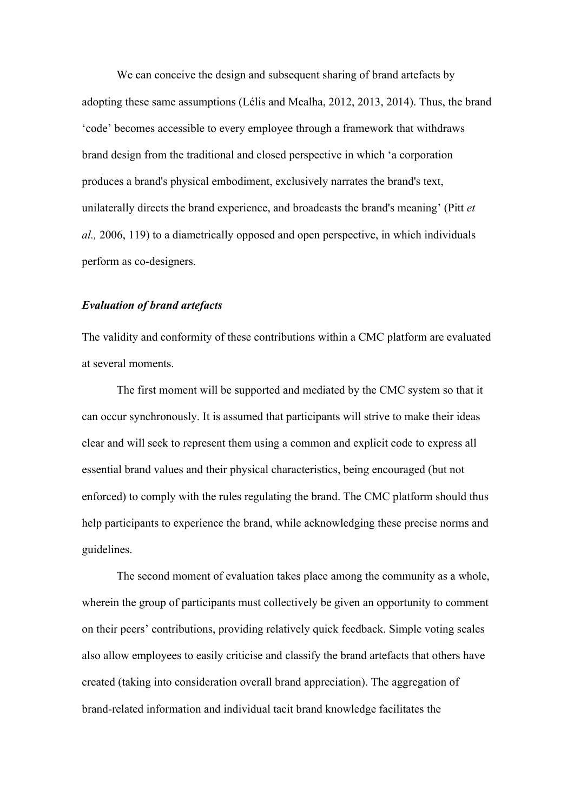We can conceive the design and subsequent sharing of brand artefacts by adopting these same assumptions (Lélis and Mealha, 2012, 2013, 2014). Thus, the brand 'code' becomes accessible to every employee through a framework that withdraws brand design from the traditional and closed perspective in which 'a corporation produces a brand's physical embodiment, exclusively narrates the brand's text, unilaterally directs the brand experience, and broadcasts the brand's meaning' (Pitt *et al.,* 2006, 119) to a diametrically opposed and open perspective, in which individuals perform as co-designers.

### *Evaluation of brand artefacts*

The validity and conformity of these contributions within a CMC platform are evaluated at several moments.

The first moment will be supported and mediated by the CMC system so that it can occur synchronously. It is assumed that participants will strive to make their ideas clear and will seek to represent them using a common and explicit code to express all essential brand values and their physical characteristics, being encouraged (but not enforced) to comply with the rules regulating the brand. The CMC platform should thus help participants to experience the brand, while acknowledging these precise norms and guidelines.

The second moment of evaluation takes place among the community as a whole, wherein the group of participants must collectively be given an opportunity to comment on their peers' contributions, providing relatively quick feedback. Simple voting scales also allow employees to easily criticise and classify the brand artefacts that others have created (taking into consideration overall brand appreciation). The aggregation of brand-related information and individual tacit brand knowledge facilitates the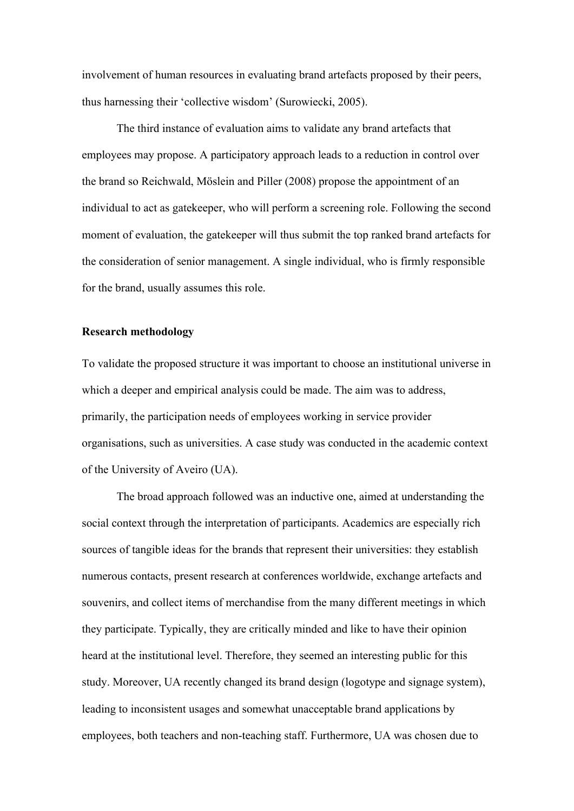involvement of human resources in evaluating brand artefacts proposed by their peers, thus harnessing their 'collective wisdom' (Surowiecki, 2005).

The third instance of evaluation aims to validate any brand artefacts that employees may propose. A participatory approach leads to a reduction in control over the brand so Reichwald, Möslein and Piller (2008) propose the appointment of an individual to act as gatekeeper, who will perform a screening role. Following the second moment of evaluation, the gatekeeper will thus submit the top ranked brand artefacts for the consideration of senior management. A single individual, who is firmly responsible for the brand, usually assumes this role.

### **Research methodology**

To validate the proposed structure it was important to choose an institutional universe in which a deeper and empirical analysis could be made. The aim was to address, primarily, the participation needs of employees working in service provider organisations, such as universities. A case study was conducted in the academic context of the University of Aveiro (UA).

The broad approach followed was an inductive one, aimed at understanding the social context through the interpretation of participants. Academics are especially rich sources of tangible ideas for the brands that represent their universities: they establish numerous contacts, present research at conferences worldwide, exchange artefacts and souvenirs, and collect items of merchandise from the many different meetings in which they participate. Typically, they are critically minded and like to have their opinion heard at the institutional level. Therefore, they seemed an interesting public for this study. Moreover, UA recently changed its brand design (logotype and signage system), leading to inconsistent usages and somewhat unacceptable brand applications by employees, both teachers and non-teaching staff. Furthermore, UA was chosen due to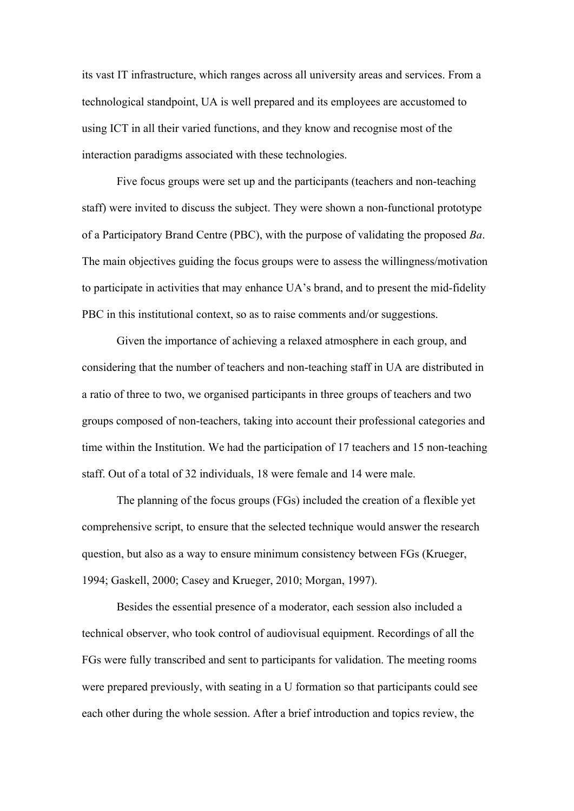its vast IT infrastructure, which ranges across all university areas and services. From a technological standpoint, UA is well prepared and its employees are accustomed to using ICT in all their varied functions, and they know and recognise most of the interaction paradigms associated with these technologies.

Five focus groups were set up and the participants (teachers and non-teaching staff) were invited to discuss the subject. They were shown a non-functional prototype of a Participatory Brand Centre (PBC), with the purpose of validating the proposed *Ba*. The main objectives guiding the focus groups were to assess the willingness/motivation to participate in activities that may enhance UA's brand, and to present the mid-fidelity PBC in this institutional context, so as to raise comments and/or suggestions.

Given the importance of achieving a relaxed atmosphere in each group, and considering that the number of teachers and non-teaching staff in UA are distributed in a ratio of three to two, we organised participants in three groups of teachers and two groups composed of non-teachers, taking into account their professional categories and time within the Institution. We had the participation of 17 teachers and 15 non-teaching staff. Out of a total of 32 individuals, 18 were female and 14 were male.

The planning of the focus groups (FGs) included the creation of a flexible yet comprehensive script, to ensure that the selected technique would answer the research question, but also as a way to ensure minimum consistency between FGs (Krueger, 1994; Gaskell, 2000; Casey and Krueger, 2010; Morgan, 1997).

Besides the essential presence of a moderator, each session also included a technical observer, who took control of audiovisual equipment. Recordings of all the FGs were fully transcribed and sent to participants for validation. The meeting rooms were prepared previously, with seating in a U formation so that participants could see each other during the whole session. After a brief introduction and topics review, the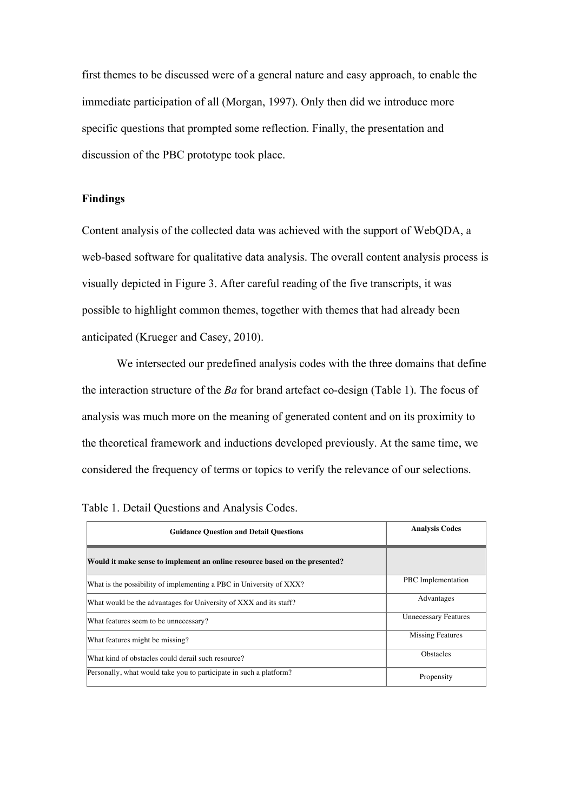first themes to be discussed were of a general nature and easy approach, to enable the immediate participation of all (Morgan, 1997). Only then did we introduce more specific questions that prompted some reflection. Finally, the presentation and discussion of the PBC prototype took place.

# **Findings**

Content analysis of the collected data was achieved with the support of WebQDA, a web-based software for qualitative data analysis. The overall content analysis process is visually depicted in Figure 3. After careful reading of the five transcripts, it was possible to highlight common themes, together with themes that had already been anticipated (Krueger and Casey, 2010).

We intersected our predefined analysis codes with the three domains that define the interaction structure of the *Ba* for brand artefact co-design (Table 1). The focus of analysis was much more on the meaning of generated content and on its proximity to the theoretical framework and inductions developed previously. At the same time, we considered the frequency of terms or topics to verify the relevance of our selections.

| <b>Guidance Question and Detail Questions</b>                               | <b>Analysis Codes</b>       |  |
|-----------------------------------------------------------------------------|-----------------------------|--|
| Would it make sense to implement an online resource based on the presented? |                             |  |
| What is the possibility of implementing a PBC in University of XXX?         | PBC Implementation          |  |
| What would be the advantages for University of XXX and its staff?           | Advantages                  |  |
| What features seem to be unnecessary?                                       | <b>Unnecessary Features</b> |  |
| What features might be missing?                                             | <b>Missing Features</b>     |  |
| What kind of obstacles could derail such resource?                          | <b>Obstacles</b>            |  |
| Personally, what would take you to participate in such a platform?          | Propensity                  |  |

| Table 1. Detail Questions and Analysis Codes. |  |  |  |
|-----------------------------------------------|--|--|--|
|-----------------------------------------------|--|--|--|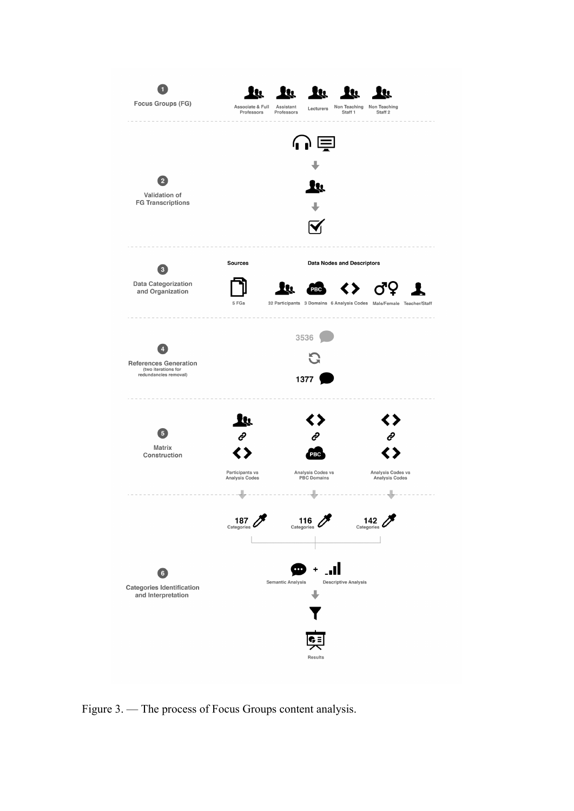

Figure 3. — The process of Focus Groups content analysis.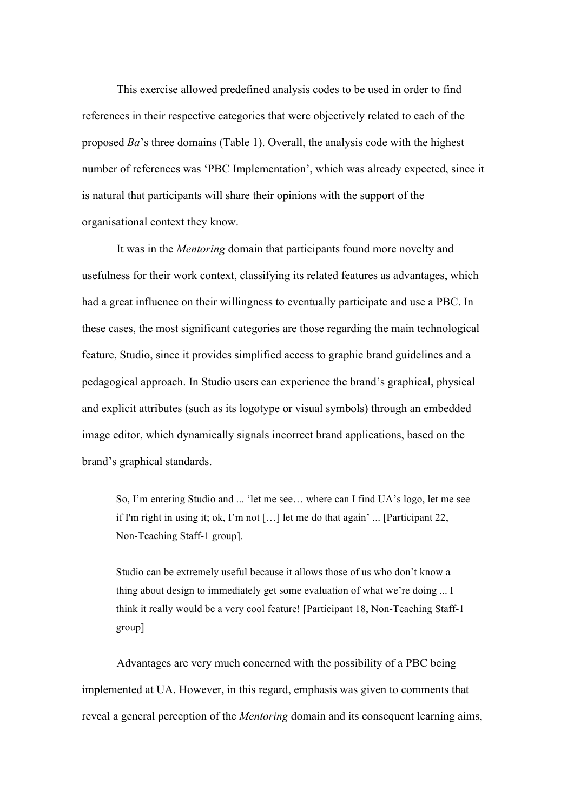This exercise allowed predefined analysis codes to be used in order to find references in their respective categories that were objectively related to each of the proposed *Ba*'s three domains (Table 1). Overall, the analysis code with the highest number of references was 'PBC Implementation', which was already expected, since it is natural that participants will share their opinions with the support of the organisational context they know.

It was in the *Mentoring* domain that participants found more novelty and usefulness for their work context, classifying its related features as advantages, which had a great influence on their willingness to eventually participate and use a PBC. In these cases, the most significant categories are those regarding the main technological feature, Studio, since it provides simplified access to graphic brand guidelines and a pedagogical approach. In Studio users can experience the brand's graphical, physical and explicit attributes (such as its logotype or visual symbols) through an embedded image editor, which dynamically signals incorrect brand applications, based on the brand's graphical standards.

So, I'm entering Studio and ... 'let me see… where can I find UA's logo, let me see if I'm right in using it; ok, I'm not […] let me do that again' ... [Participant 22, Non-Teaching Staff-1 group].

Studio can be extremely useful because it allows those of us who don't know a thing about design to immediately get some evaluation of what we're doing ... I think it really would be a very cool feature! [Participant 18, Non-Teaching Staff-1 group]

Advantages are very much concerned with the possibility of a PBC being implemented at UA. However, in this regard, emphasis was given to comments that reveal a general perception of the *Mentoring* domain and its consequent learning aims,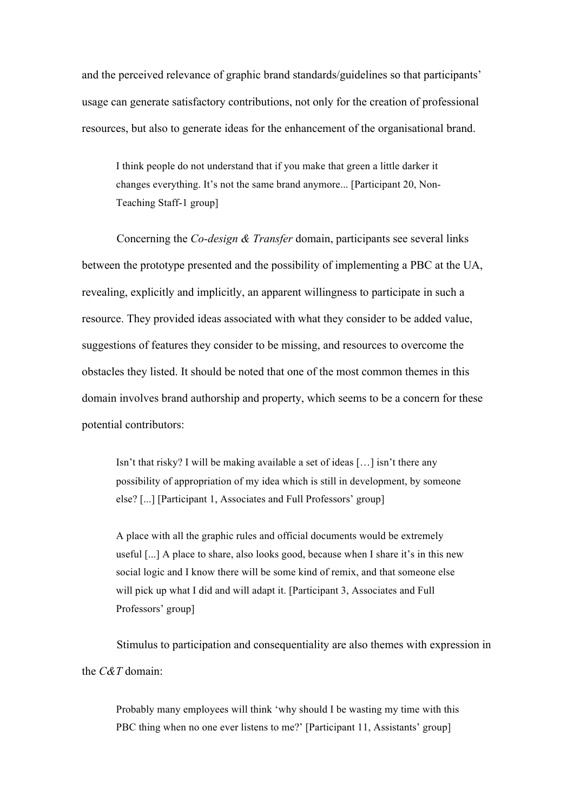and the perceived relevance of graphic brand standards/guidelines so that participants' usage can generate satisfactory contributions, not only for the creation of professional resources, but also to generate ideas for the enhancement of the organisational brand.

I think people do not understand that if you make that green a little darker it changes everything. It's not the same brand anymore... [Participant 20, Non-Teaching Staff-1 group]

Concerning the *Co-design & Transfer* domain, participants see several links between the prototype presented and the possibility of implementing a PBC at the UA, revealing, explicitly and implicitly, an apparent willingness to participate in such a resource. They provided ideas associated with what they consider to be added value, suggestions of features they consider to be missing, and resources to overcome the obstacles they listed. It should be noted that one of the most common themes in this domain involves brand authorship and property, which seems to be a concern for these potential contributors:

Isn't that risky? I will be making available a set of ideas […] isn't there any possibility of appropriation of my idea which is still in development, by someone else? [...] [Participant 1, Associates and Full Professors' group]

A place with all the graphic rules and official documents would be extremely useful [...] A place to share, also looks good, because when I share it's in this new social logic and I know there will be some kind of remix, and that someone else will pick up what I did and will adapt it. [Participant 3, Associates and Full Professors' group]

Stimulus to participation and consequentiality are also themes with expression in the *C&T* domain:

Probably many employees will think 'why should I be wasting my time with this PBC thing when no one ever listens to me?' [Participant 11, Assistants' group]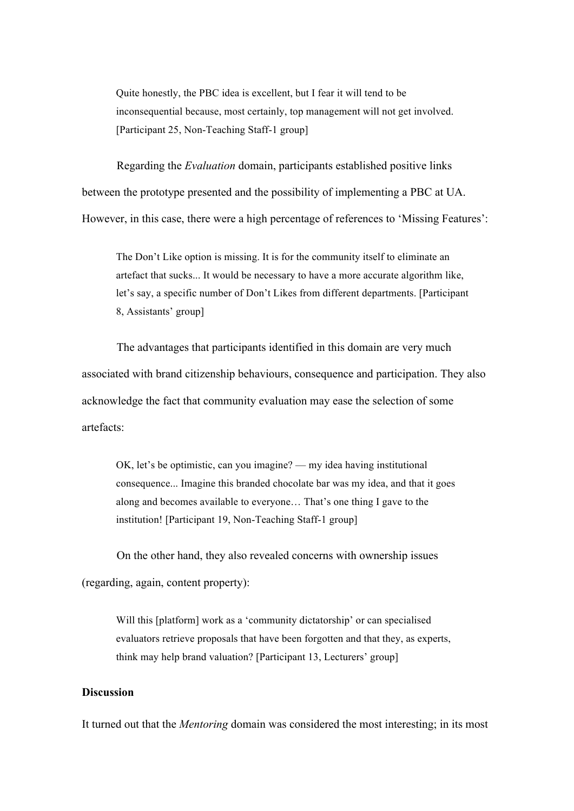Quite honestly, the PBC idea is excellent, but I fear it will tend to be inconsequential because, most certainly, top management will not get involved. [Participant 25, Non-Teaching Staff-1 group]

Regarding the *Evaluation* domain, participants established positive links between the prototype presented and the possibility of implementing a PBC at UA. However, in this case, there were a high percentage of references to 'Missing Features':

The Don't Like option is missing. It is for the community itself to eliminate an artefact that sucks... It would be necessary to have a more accurate algorithm like, let's say, a specific number of Don't Likes from different departments. [Participant 8, Assistants' group]

The advantages that participants identified in this domain are very much associated with brand citizenship behaviours, consequence and participation. They also acknowledge the fact that community evaluation may ease the selection of some artefacts:

OK, let's be optimistic, can you imagine? — my idea having institutional consequence... Imagine this branded chocolate bar was my idea, and that it goes along and becomes available to everyone… That's one thing I gave to the institution! [Participant 19, Non-Teaching Staff-1 group]

On the other hand, they also revealed concerns with ownership issues (regarding, again, content property):

Will this [platform] work as a 'community dictatorship' or can specialised evaluators retrieve proposals that have been forgotten and that they, as experts, think may help brand valuation? [Participant 13, Lecturers' group]

## **Discussion**

It turned out that the *Mentoring* domain was considered the most interesting; in its most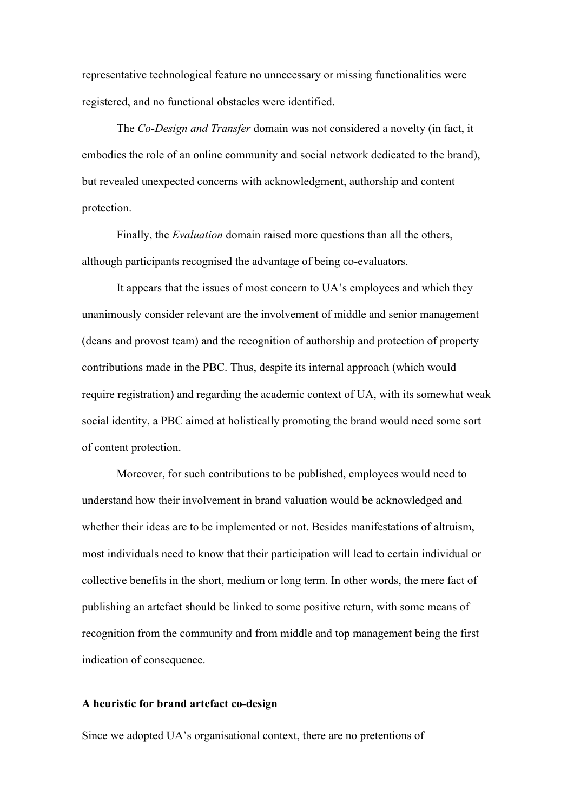representative technological feature no unnecessary or missing functionalities were registered, and no functional obstacles were identified.

The *Co-Design and Transfer* domain was not considered a novelty (in fact, it embodies the role of an online community and social network dedicated to the brand), but revealed unexpected concerns with acknowledgment, authorship and content protection.

Finally, the *Evaluation* domain raised more questions than all the others, although participants recognised the advantage of being co-evaluators.

It appears that the issues of most concern to UA's employees and which they unanimously consider relevant are the involvement of middle and senior management (deans and provost team) and the recognition of authorship and protection of property contributions made in the PBC. Thus, despite its internal approach (which would require registration) and regarding the academic context of UA, with its somewhat weak social identity, a PBC aimed at holistically promoting the brand would need some sort of content protection.

Moreover, for such contributions to be published, employees would need to understand how their involvement in brand valuation would be acknowledged and whether their ideas are to be implemented or not. Besides manifestations of altruism, most individuals need to know that their participation will lead to certain individual or collective benefits in the short, medium or long term. In other words, the mere fact of publishing an artefact should be linked to some positive return, with some means of recognition from the community and from middle and top management being the first indication of consequence.

#### **A heuristic for brand artefact co-design**

Since we adopted UA's organisational context, there are no pretentions of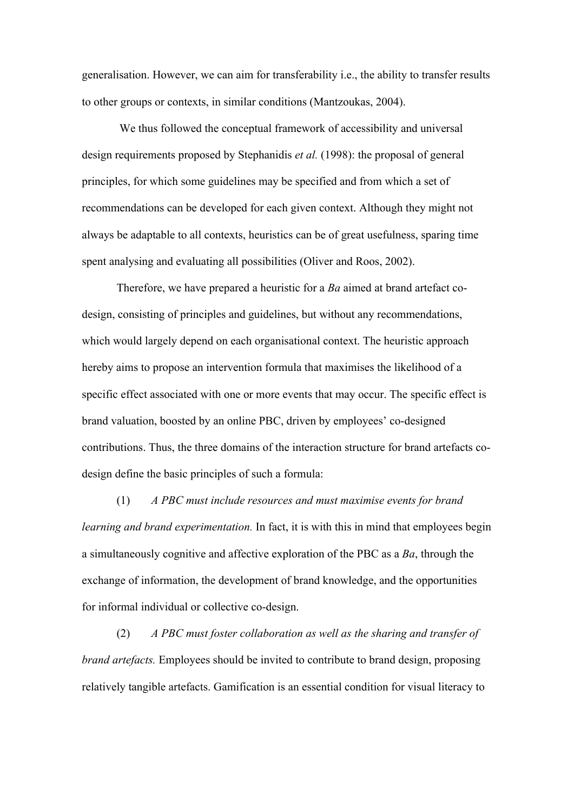generalisation. However, we can aim for transferability i.e., the ability to transfer results to other groups or contexts, in similar conditions (Mantzoukas, 2004).

We thus followed the conceptual framework of accessibility and universal design requirements proposed by Stephanidis *et al.* (1998): the proposal of general principles, for which some guidelines may be specified and from which a set of recommendations can be developed for each given context. Although they might not always be adaptable to all contexts, heuristics can be of great usefulness, sparing time spent analysing and evaluating all possibilities (Oliver and Roos, 2002).

Therefore, we have prepared a heuristic for a *Ba* aimed at brand artefact codesign, consisting of principles and guidelines, but without any recommendations, which would largely depend on each organisational context. The heuristic approach hereby aims to propose an intervention formula that maximises the likelihood of a specific effect associated with one or more events that may occur. The specific effect is brand valuation, boosted by an online PBC, driven by employees' co-designed contributions. Thus, the three domains of the interaction structure for brand artefacts codesign define the basic principles of such a formula:

(1) *A PBC must include resources and must maximise events for brand learning and brand experimentation.* In fact, it is with this in mind that employees begin a simultaneously cognitive and affective exploration of the PBC as a *Ba*, through the exchange of information, the development of brand knowledge, and the opportunities for informal individual or collective co-design.

(2) *A PBC must foster collaboration as well as the sharing and transfer of brand artefacts.* Employees should be invited to contribute to brand design, proposing relatively tangible artefacts. Gamification is an essential condition for visual literacy to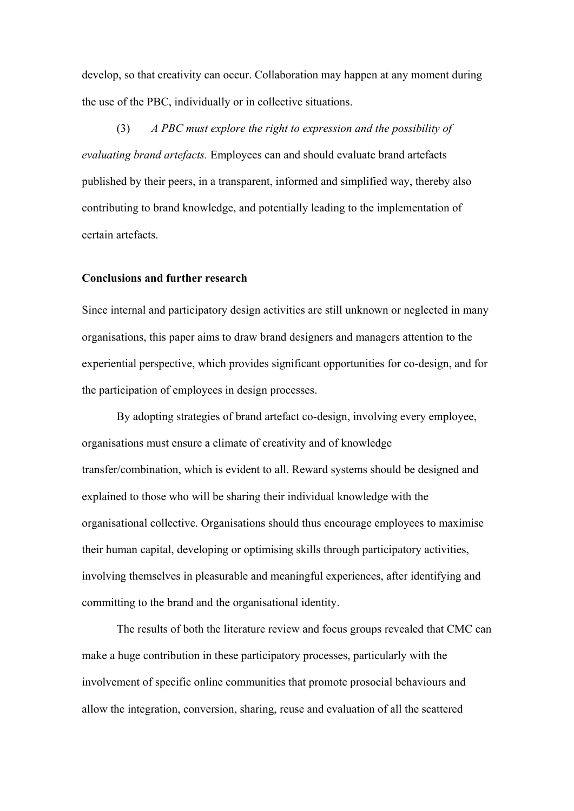develop, so that creativity can occur. Collaboration may happen at any moment during the use of the PBC, individually or in collective situations.

(3) *A PBC must explore the right to expression and the possibility of evaluating brand artefacts.* Employees can and should evaluate brand artefacts published by their peers, in a transparent, informed and simplified way, thereby also contributing to brand knowledge, and potentially leading to the implementation of certain artefacts.

#### **Conclusions and further research**

Since internal and participatory design activities are still unknown or neglected in many organisations, this paper aims to draw brand designers and managers attention to the experiential perspective, which provides significant opportunities for co-design, and for the participation of employees in design processes.

By adopting strategies of brand artefact co-design, involving every employee, organisations must ensure a climate of creativity and of knowledge transfer/combination, which is evident to all. Reward systems should be designed and explained to those who will be sharing their individual knowledge with the organisational collective. Organisations should thus encourage employees to maximise their human capital, developing or optimising skills through participatory activities, involving themselves in pleasurable and meaningful experiences, after identifying and committing to the brand and the organisational identity.

The results of both the literature review and focus groups revealed that CMC can make a huge contribution in these participatory processes, particularly with the involvement of specific online communities that promote prosocial behaviours and allow the integration, conversion, sharing, reuse and evaluation of all the scattered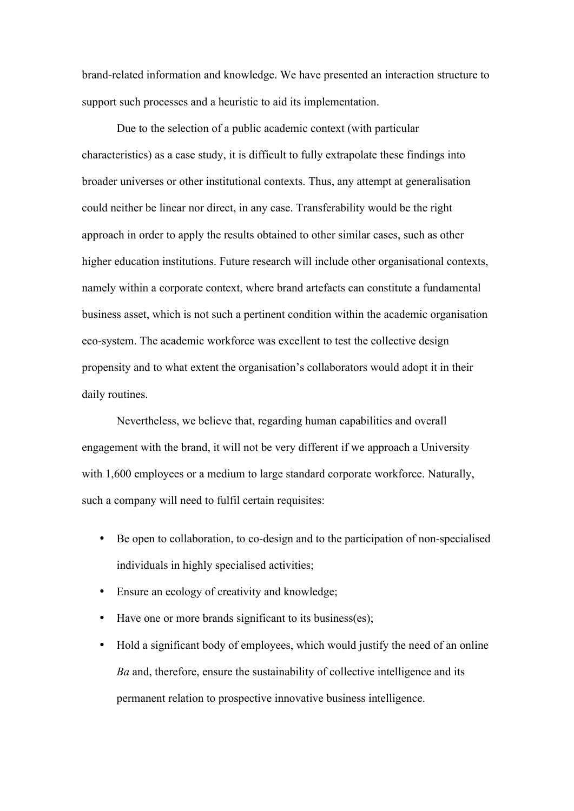brand-related information and knowledge. We have presented an interaction structure to support such processes and a heuristic to aid its implementation.

Due to the selection of a public academic context (with particular characteristics) as a case study, it is difficult to fully extrapolate these findings into broader universes or other institutional contexts. Thus, any attempt at generalisation could neither be linear nor direct, in any case. Transferability would be the right approach in order to apply the results obtained to other similar cases, such as other higher education institutions. Future research will include other organisational contexts, namely within a corporate context, where brand artefacts can constitute a fundamental business asset, which is not such a pertinent condition within the academic organisation eco-system. The academic workforce was excellent to test the collective design propensity and to what extent the organisation's collaborators would adopt it in their daily routines.

Nevertheless, we believe that, regarding human capabilities and overall engagement with the brand, it will not be very different if we approach a University with 1,600 employees or a medium to large standard corporate workforce. Naturally, such a company will need to fulfil certain requisites:

- Be open to collaboration, to co-design and to the participation of non-specialised individuals in highly specialised activities;
- Ensure an ecology of creativity and knowledge;
- Have one or more brands significant to its business(es);
- Hold a significant body of employees, which would justify the need of an online *Ba* and, therefore, ensure the sustainability of collective intelligence and its permanent relation to prospective innovative business intelligence.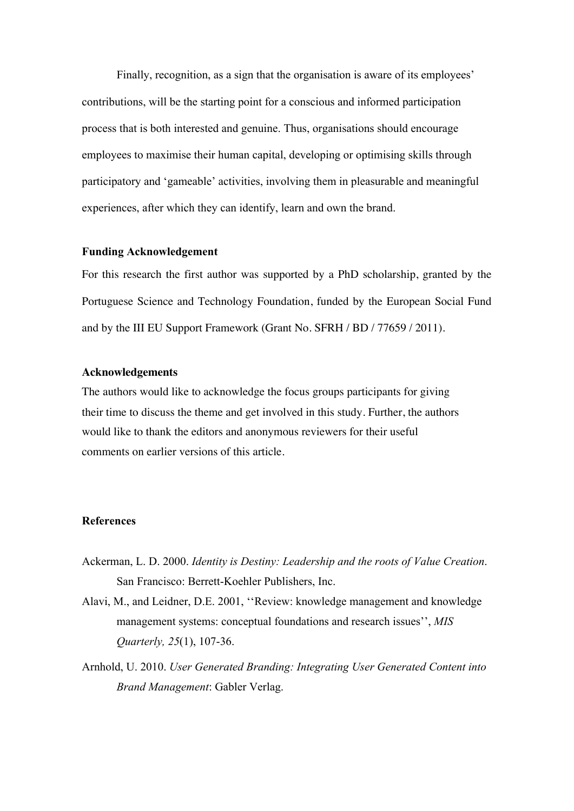Finally, recognition, as a sign that the organisation is aware of its employees' contributions, will be the starting point for a conscious and informed participation process that is both interested and genuine. Thus, organisations should encourage employees to maximise their human capital, developing or optimising skills through participatory and 'gameable' activities, involving them in pleasurable and meaningful experiences, after which they can identify, learn and own the brand.

### **Funding Acknowledgement**

For this research the first author was supported by a PhD scholarship, granted by the Portuguese Science and Technology Foundation, funded by the European Social Fund and by the III EU Support Framework (Grant No. SFRH / BD / 77659 / 2011).

### **Acknowledgements**

The authors would like to acknowledge the focus groups participants for giving their time to discuss the theme and get involved in this study. Further, the authors would like to thank the editors and anonymous reviewers for their useful comments on earlier versions of this article.

## **References**

- Ackerman, L. D. 2000. *Identity is Destiny: Leadership and the roots of Value Creation*. San Francisco: Berrett-Koehler Publishers, Inc.
- Alavi, M., and Leidner, D.E. 2001, ''Review: knowledge management and knowledge management systems: conceptual foundations and research issues'', *MIS Quarterly, 25*(1), 107-36.
- Arnhold, U. 2010. *User Generated Branding: Integrating User Generated Content into Brand Management*: Gabler Verlag.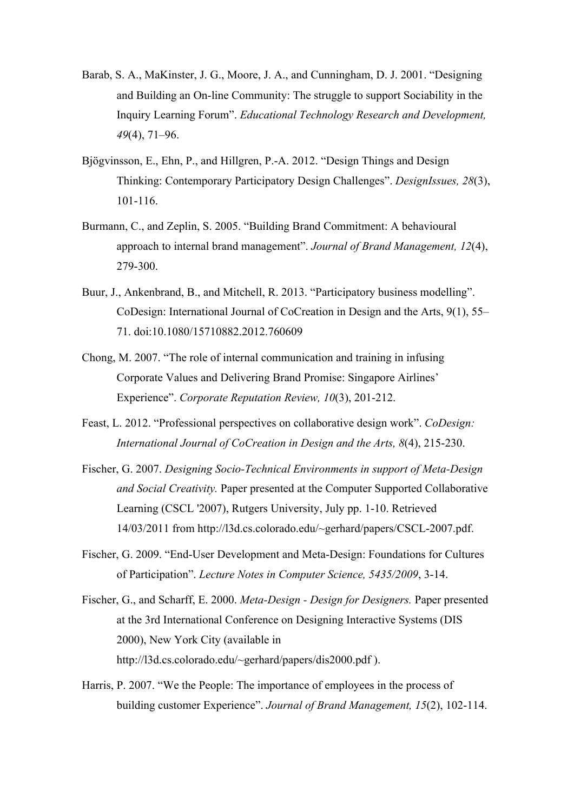- Barab, S. A., MaKinster, J. G., Moore, J. A., and Cunningham, D. J. 2001. "Designing and Building an On-line Community: The struggle to support Sociability in the Inquiry Learning Forum". *Educational Technology Research and Development, 49*(4), 71–96.
- Bjögvinsson, E., Ehn, P., and Hillgren, P.-A. 2012. "Design Things and Design Thinking: Contemporary Participatory Design Challenges". *DesignIssues, 28*(3), 101-116.
- Burmann, C., and Zeplin, S. 2005. "Building Brand Commitment: A behavioural approach to internal brand management". *Journal of Brand Management, 12*(4), 279-300.
- Buur, J., Ankenbrand, B., and Mitchell, R. 2013. "Participatory business modelling". CoDesign: International Journal of CoCreation in Design and the Arts, 9(1), 55– 71. doi:10.1080/15710882.2012.760609
- Chong, M. 2007. "The role of internal communication and training in infusing Corporate Values and Delivering Brand Promise: Singapore Airlines' Experience". *Corporate Reputation Review, 10*(3), 201-212.
- Feast, L. 2012. "Professional perspectives on collaborative design work". *CoDesign: International Journal of CoCreation in Design and the Arts, 8*(4), 215-230.
- Fischer, G. 2007. *Designing Socio-Technical Environments in support of Meta-Design and Social Creativity.* Paper presented at the Computer Supported Collaborative Learning (CSCL '2007), Rutgers University, July pp. 1-10. Retrieved 14/03/2011 from http://l3d.cs.colorado.edu/~gerhard/papers/CSCL-2007.pdf.
- Fischer, G. 2009. "End-User Development and Meta-Design: Foundations for Cultures of Participation". *Lecture Notes in Computer Science, 5435/2009*, 3-14.
- Fischer, G., and Scharff, E. 2000. *Meta-Design Design for Designers.* Paper presented at the 3rd International Conference on Designing Interactive Systems (DIS 2000), New York City (available in http://l3d.cs.colorado.edu/~gerhard/papers/dis2000.pdf ).
- Harris, P. 2007. "We the People: The importance of employees in the process of building customer Experience". *Journal of Brand Management, 15*(2), 102-114.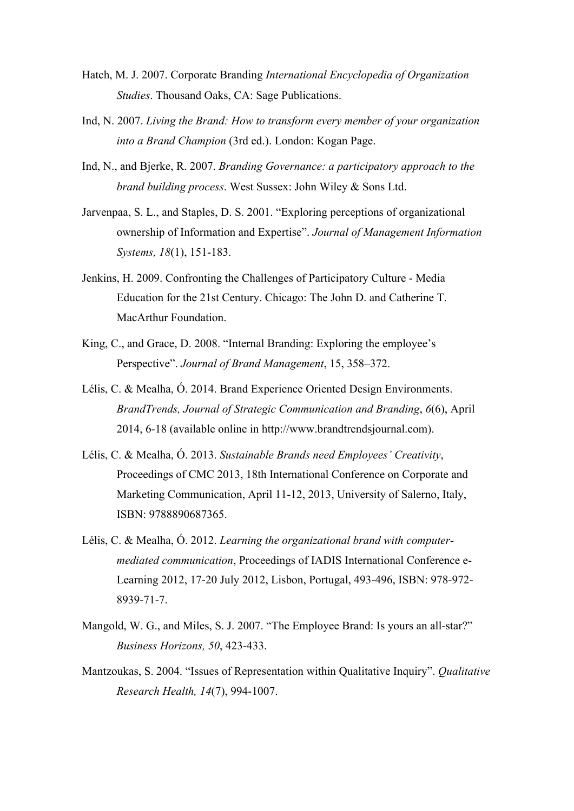- Hatch, M. J. 2007. Corporate Branding *International Encyclopedia of Organization Studies*. Thousand Oaks, CA: Sage Publications.
- Ind, N. 2007. *Living the Brand: How to transform every member of your organization into a Brand Champion* (3rd ed.). London: Kogan Page.
- Ind, N., and Bjerke, R. 2007. *Branding Governance: a participatory approach to the brand building process*. West Sussex: John Wiley & Sons Ltd.
- Jarvenpaa, S. L., and Staples, D. S. 2001. "Exploring perceptions of organizational ownership of Information and Expertise". *Journal of Management Information Systems, 18*(1), 151-183.
- Jenkins, H. 2009. Confronting the Challenges of Participatory Culture Media Education for the 21st Century. Chicago: The John D. and Catherine T. MacArthur Foundation.
- King, C., and Grace, D. 2008. "Internal Branding: Exploring the employee's Perspective". *Journal of Brand Management*, 15, 358–372.
- Lélis, C. & Mealha, Ó. 2014. Brand Experience Oriented Design Environments. *BrandTrends, Journal of Strategic Communication and Branding*, *6*(6), April 2014, 6-18 (available online in http://www.brandtrendsjournal.com).
- Lélis, C. & Mealha, Ó. 2013. *Sustainable Brands need Employees' Creativity*, Proceedings of CMC 2013, 18th International Conference on Corporate and Marketing Communication, April 11-12, 2013, University of Salerno, Italy, ISBN: 9788890687365.
- Lélis, C. & Mealha, Ó. 2012. *Learning the organizational brand with computermediated communication*, Proceedings of IADIS International Conference e-Learning 2012, 17-20 July 2012, Lisbon, Portugal, 493-496, ISBN: 978-972- 8939-71-7.
- Mangold, W. G., and Miles, S. J. 2007. "The Employee Brand: Is yours an all-star?" *Business Horizons, 50*, 423-433.
- Mantzoukas, S. 2004. "Issues of Representation within Qualitative Inquiry". *Qualitative Research Health, 14*(7), 994-1007.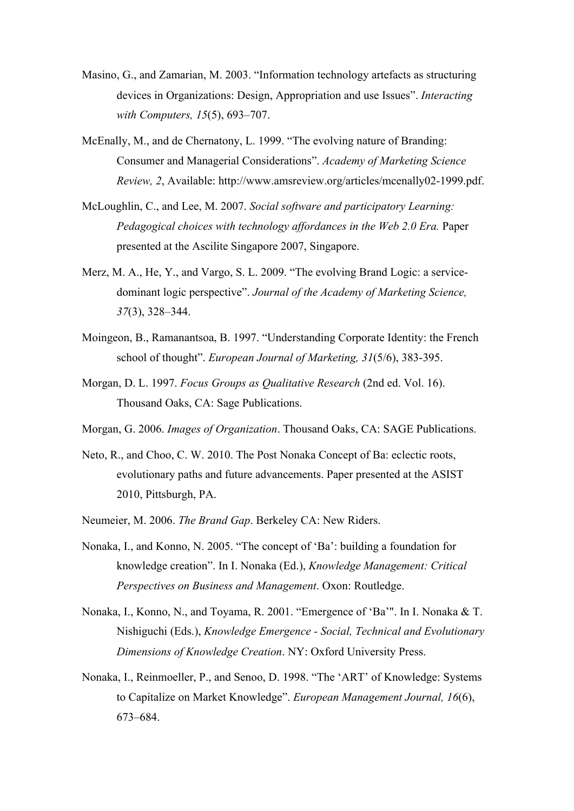- Masino, G., and Zamarian, M. 2003. "Information technology artefacts as structuring devices in Organizations: Design, Appropriation and use Issues". *Interacting with Computers, 15*(5), 693–707.
- McEnally, M., and de Chernatony, L. 1999. "The evolving nature of Branding: Consumer and Managerial Considerations". *Academy of Marketing Science Review, 2*, Available: http://www.amsreview.org/articles/mcenally02-1999.pdf.
- McLoughlin, C., and Lee, M. 2007. *Social software and participatory Learning: Pedagogical choices with technology affordances in the Web 2.0 Era.* Paper presented at the Ascilite Singapore 2007, Singapore.
- Merz, M. A., He, Y., and Vargo, S. L. 2009. "The evolving Brand Logic: a servicedominant logic perspective". *Journal of the Academy of Marketing Science, 37*(3), 328–344.
- Moingeon, B., Ramanantsoa, B. 1997. "Understanding Corporate Identity: the French school of thought". *European Journal of Marketing, 31*(5/6), 383-395.
- Morgan, D. L. 1997. *Focus Groups as Qualitative Research* (2nd ed. Vol. 16). Thousand Oaks, CA: Sage Publications.
- Morgan, G. 2006. *Images of Organization*. Thousand Oaks, CA: SAGE Publications.
- Neto, R., and Choo, C. W. 2010. The Post Nonaka Concept of Ba: eclectic roots, evolutionary paths and future advancements. Paper presented at the ASIST 2010, Pittsburgh, PA.
- Neumeier, M. 2006. *The Brand Gap*. Berkeley CA: New Riders.
- Nonaka, I., and Konno, N. 2005. "The concept of 'Ba': building a foundation for knowledge creation". In I. Nonaka (Ed.), *Knowledge Management: Critical Perspectives on Business and Management*. Oxon: Routledge.
- Nonaka, I., Konno, N., and Toyama, R. 2001. "Emergence of 'Ba'". In I. Nonaka & T. Nishiguchi (Eds.), *Knowledge Emergence - Social, Technical and Evolutionary Dimensions of Knowledge Creation*. NY: Oxford University Press.
- Nonaka, I., Reinmoeller, P., and Senoo, D. 1998. "The 'ART' of Knowledge: Systems to Capitalize on Market Knowledge". *European Management Journal, 16*(6), 673–684.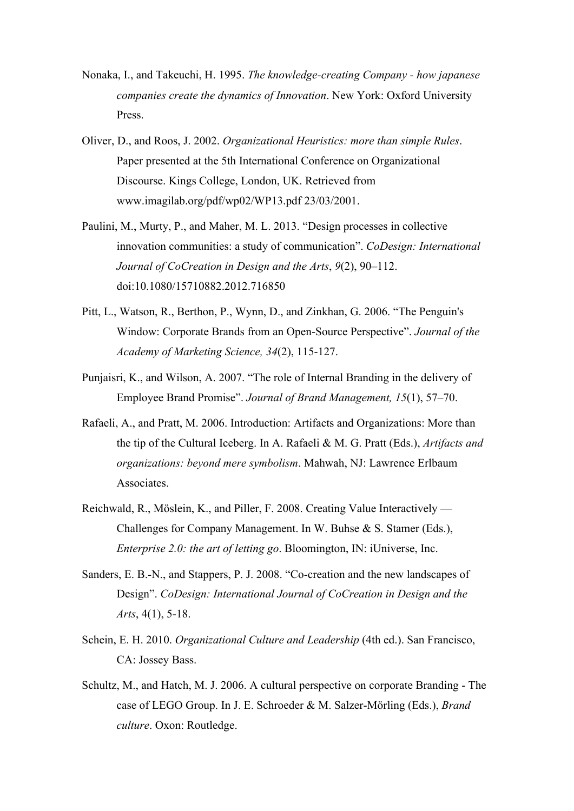- Nonaka, I., and Takeuchi, H. 1995. *The knowledge-creating Company how japanese companies create the dynamics of Innovation*. New York: Oxford University Press.
- Oliver, D., and Roos, J. 2002. *Organizational Heuristics: more than simple Rules*. Paper presented at the 5th International Conference on Organizational Discourse. Kings College, London, UK. Retrieved from www.imagilab.org/pdf/wp02/WP13.pdf 23/03/2001.
- Paulini, M., Murty, P., and Maher, M. L. 2013. "Design processes in collective innovation communities: a study of communication". *CoDesign: International Journal of CoCreation in Design and the Arts*, *9*(2), 90–112. doi:10.1080/15710882.2012.716850
- Pitt, L., Watson, R., Berthon, P., Wynn, D., and Zinkhan, G. 2006. "The Penguin's Window: Corporate Brands from an Open-Source Perspective". *Journal of the Academy of Marketing Science, 34*(2), 115-127.
- Punjaisri, K., and Wilson, A. 2007. "The role of Internal Branding in the delivery of Employee Brand Promise". *Journal of Brand Management, 15*(1), 57–70.
- Rafaeli, A., and Pratt, M. 2006. Introduction: Artifacts and Organizations: More than the tip of the Cultural Iceberg. In A. Rafaeli & M. G. Pratt (Eds.), *Artifacts and organizations: beyond mere symbolism*. Mahwah, NJ: Lawrence Erlbaum Associates.
- Reichwald, R., Möslein, K., and Piller, F. 2008. Creating Value Interactively Challenges for Company Management. In W. Buhse & S. Stamer (Eds.), *Enterprise 2.0: the art of letting go*. Bloomington, IN: iUniverse, Inc.
- Sanders, E. B.-N., and Stappers, P. J. 2008. "Co-creation and the new landscapes of Design". *CoDesign: International Journal of CoCreation in Design and the Arts*, 4(1), 5-18.
- Schein, E. H. 2010. *Organizational Culture and Leadership* (4th ed.). San Francisco, CA: Jossey Bass.
- Schultz, M., and Hatch, M. J. 2006. A cultural perspective on corporate Branding The case of LEGO Group. In J. E. Schroeder & M. Salzer-Mörling (Eds.), *Brand culture*. Oxon: Routledge.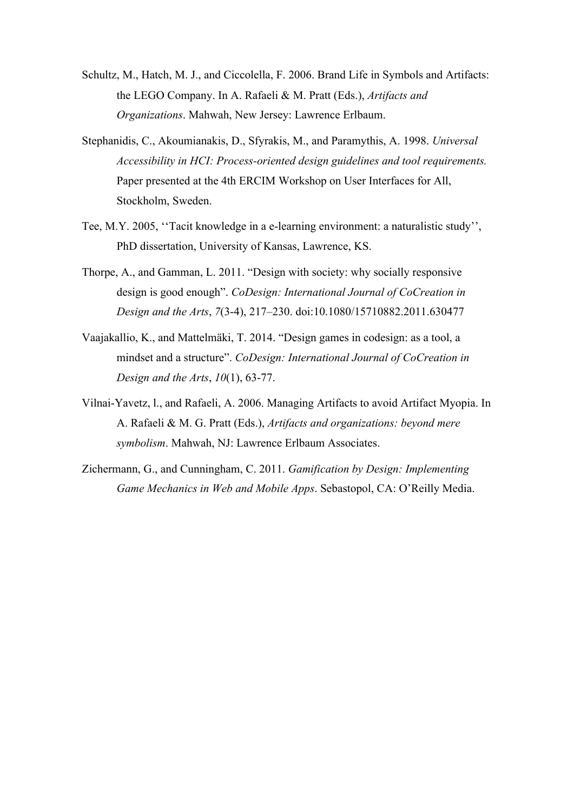- Schultz, M., Hatch, M. J., and Ciccolella, F. 2006. Brand Life in Symbols and Artifacts: the LEGO Company. In A. Rafaeli & M. Pratt (Eds.), *Artifacts and Organizations*. Mahwah, New Jersey: Lawrence Erlbaum.
- Stephanidis, C., Akoumianakis, D., Sfyrakis, M., and Paramythis, A. 1998. *Universal Accessibility in HCI: Process-oriented design guidelines and tool requirements.* Paper presented at the 4th ERCIM Workshop on User Interfaces for All, Stockholm, Sweden.
- Tee, M.Y. 2005, ''Tacit knowledge in a e-learning environment: a naturalistic study'', PhD dissertation, University of Kansas, Lawrence, KS.
- Thorpe, A., and Gamman, L. 2011. "Design with society: why socially responsive design is good enough". *CoDesign: International Journal of CoCreation in Design and the Arts*, *7*(3-4), 217–230. doi:10.1080/15710882.2011.630477
- Vaajakallio, K., and Mattelmäki, T. 2014. "Design games in codesign: as a tool, a mindset and a structure". *CoDesign: International Journal of CoCreation in Design and the Arts*, *10*(1), 63-77.
- Vilnai-Yavetz, l., and Rafaeli, A. 2006. Managing Artifacts to avoid Artifact Myopia. In A. Rafaeli & M. G. Pratt (Eds.), *Artifacts and organizations: beyond mere symbolism*. Mahwah, NJ: Lawrence Erlbaum Associates.
- Zichermann, G., and Cunningham, C. 2011. *Gamification by Design: Implementing Game Mechanics in Web and Mobile Apps*. Sebastopol, CA: O'Reilly Media.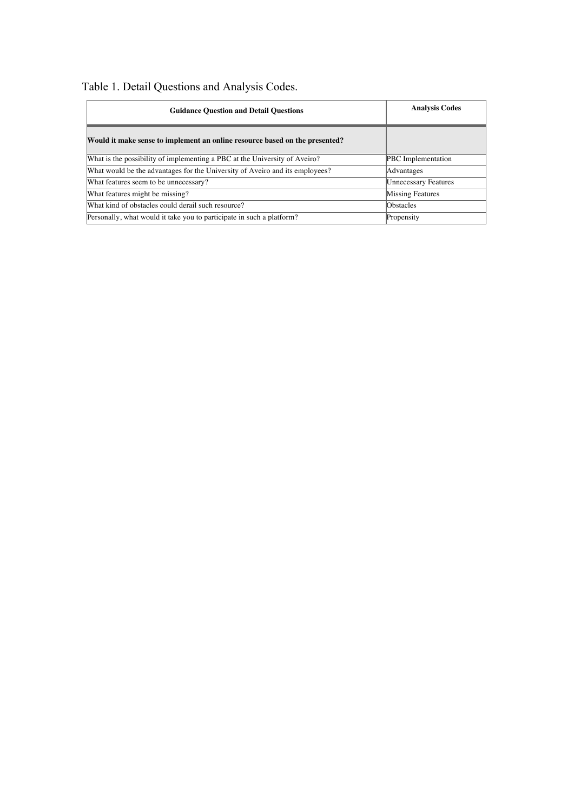| Table 1. Detail Questions and Analysis Codes. |
|-----------------------------------------------|
|-----------------------------------------------|

| <b>Guidance Question and Detail Questions</b>                                | <b>Analysis Codes</b>       |  |
|------------------------------------------------------------------------------|-----------------------------|--|
| Would it make sense to implement an online resource based on the presented?  |                             |  |
| What is the possibility of implementing a PBC at the University of Aveiro?   | <b>PBC</b> Implementation   |  |
| What would be the advantages for the University of Aveiro and its employees? | Advantages                  |  |
| What features seem to be unnecessary?                                        | <b>Unnecessary Features</b> |  |
| What features might be missing?                                              | Missing Features            |  |
| What kind of obstacles could derail such resource?                           | <b>Obstacles</b>            |  |
| Personally, what would it take you to participate in such a platform?        | Propensity                  |  |